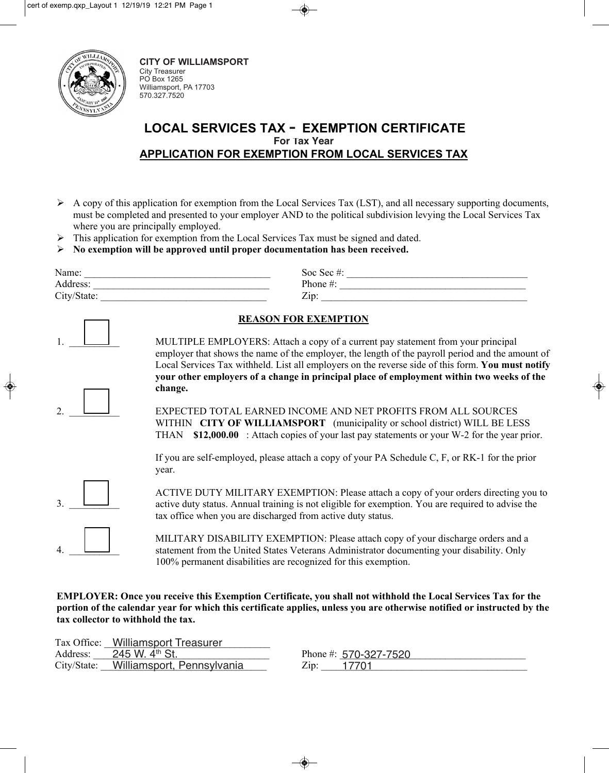

City Treasurer PO Box 1265 Williamsport, PA 17703 570.327.7520 **CITY OF WILLIAMSPORT**

## **LOCAL SERVICES TAX - EXEMPTION CERTIFICATE For Tax Year APPLICATION FOR EXEMPTION FROM LOCAL SERVICES TAX**

- $\triangleright$  A copy of this application for exemption from the Local Services Tax (LST), and all necessary supporting documents, must be completed and presented to your employer AND to the political subdivision levying the Local Services Tax where you are principally employed.
- $\triangleright$  This application for exemption from the Local Services Tax must be signed and dated.
- ¾ **No exemption will be approved until proper documentation has been received.**

| Name:       | Soc Sec#: |
|-------------|-----------|
| Address:    | Phone#:   |
| City/State: | Zip       |

|--|

2.  $\Box$ 

MULTIPLE EMPLOYERS: Attach a copy of a current pay statement from your principal employer that shows the name of the employer, the length of the payroll period and the amount of Local Services Tax withheld. List all employers on the reverse side of this form. **You must notify your other employers of a change in principal place of employment within two weeks of the change.** 

EXPECTED TOTAL EARNED INCOME AND NET PROFITS FROM ALL SOURCES WITHIN **CITY OF WILLIAMSPORT** (municipality or school district) WILL BE LESS THAN **\$12,000.00** : Attach copies of your last pay statements or your W-2 for the year prior.

If you are self-employed, please attach a copy of your PA Schedule C, F, or RK-1 for the prior year.



4. \_\_\_\_\_\_\_\_\_\_

ACTIVE DUTY MILITARY EXEMPTION: Please attach a copy of your orders directing you to active duty status. Annual training is not eligible for exemption. You are required to advise the tax office when you are discharged from active duty status.

MILITARY DISABILITY EXEMPTION: Please attach copy of your discharge orders and a statement from the United States Veterans Administrator documenting your disability. Only 100% permanent disabilities are recognized for this exemption.

**EMPLOYER: Once you receive this Exemption Certificate, you shall not withhold the Local Services Tax for the portion of the calendar year for which this certificate applies, unless you are otherwise notified or instructed by the tax collector to withhold the tax.** 

|             | Tax Office: Williamsport Treasurer |                         |
|-------------|------------------------------------|-------------------------|
| Address:    | 245 W. 4 <sup>th</sup> St.         | Phone #: $570-327-7520$ |
| City/State: | Williamsport, Pennsylvania         | 17701<br>Zip:           |

City/State: Williamsport, Pennsylvania and Zip: 17701